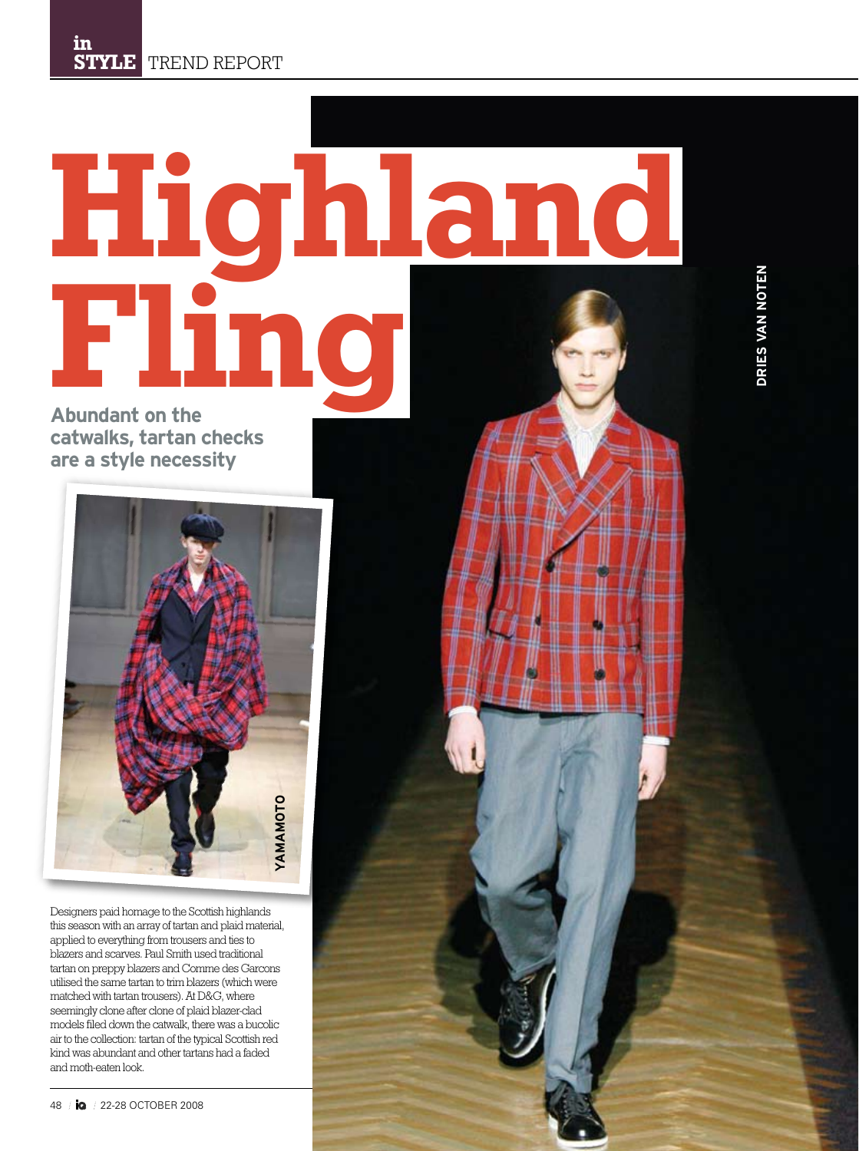## **Highland Fling**

**Abundant on the catwalks, tartan checks are a style necessity**



Designers paid homage to the Scottish highlands this season with an array of tartan and plaid material, applied to everything from trousers and ties to blazers and scarves. Paul Smith used traditional tartan on preppy blazers and Comme des Garcons utilised the same tartan to trim blazers (which were matched with tartan trousers). At D&G, where seemingly clone after clone of plaid blazer-clad models filed down the catwalk, there was a bucolic air to the collection: tartan of the typical Scottish red kind was abundant and other tartans had a faded and moth-eaten look.

DRIES VAN NOTEN **DRIES VAN NOTEN**